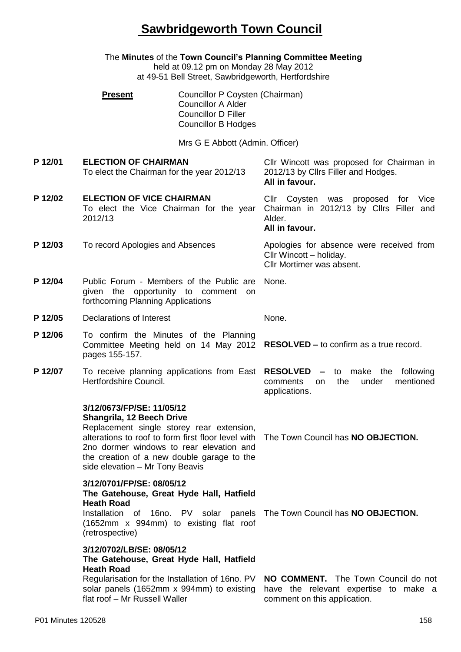## **Sawbridgeworth Town Council**

|         | The Minutes of the Town Council's Planning Committee Meeting<br>held at 09.12 pm on Monday 28 May 2012<br>at 49-51 Bell Street, Sawbridgeworth, Hertfordshire                                                                                                                          |                                                                                                                          |                                                                                                                 |  |
|---------|----------------------------------------------------------------------------------------------------------------------------------------------------------------------------------------------------------------------------------------------------------------------------------------|--------------------------------------------------------------------------------------------------------------------------|-----------------------------------------------------------------------------------------------------------------|--|
|         | <b>Present</b>                                                                                                                                                                                                                                                                         | Councillor P Coysten (Chairman)<br><b>Councillor A Alder</b><br><b>Councillor D Filler</b><br><b>Councillor B Hodges</b> |                                                                                                                 |  |
|         |                                                                                                                                                                                                                                                                                        | Mrs G E Abbott (Admin. Officer)                                                                                          |                                                                                                                 |  |
| P 12/01 | <b>ELECTION OF CHAIRMAN</b><br>To elect the Chairman for the year 2012/13                                                                                                                                                                                                              |                                                                                                                          | Cllr Wincott was proposed for Chairman in<br>2012/13 by Cllrs Filler and Hodges.<br>All in favour.              |  |
| P 12/02 | <b>ELECTION OF VICE CHAIRMAN</b><br>To elect the Vice Chairman for the year<br>2012/13                                                                                                                                                                                                 |                                                                                                                          | Cllr<br>Coysten was proposed for<br>Vice<br>Chairman in 2012/13 by Cllrs Filler and<br>Alder.<br>All in favour. |  |
| P 12/03 | To record Apologies and Absences                                                                                                                                                                                                                                                       |                                                                                                                          | Apologies for absence were received from<br>Cllr Wincott - holiday.<br>Cllr Mortimer was absent.                |  |
| P 12/04 | Public Forum - Members of the Public are<br>given the opportunity to comment<br>on<br>forthcoming Planning Applications                                                                                                                                                                |                                                                                                                          | None.                                                                                                           |  |
| P 12/05 | Declarations of Interest                                                                                                                                                                                                                                                               |                                                                                                                          | None.                                                                                                           |  |
| P 12/06 | To confirm the Minutes of the Planning<br>pages 155-157.                                                                                                                                                                                                                               |                                                                                                                          | Committee Meeting held on 14 May 2012 RESOLVED - to confirm as a true record.                                   |  |
| P 12/07 | To receive planning applications from East RESOLVED<br>Hertfordshire Council.                                                                                                                                                                                                          |                                                                                                                          | - to make<br>following<br>the<br>the<br>mentioned<br>under<br>comments<br>on.<br>applications.                  |  |
|         | 3/12/0673/FP/SE: 11/05/12<br>Shangrila, 12 Beech Drive<br>Replacement single storey rear extension,<br>alterations to roof to form first floor level with<br>2no dormer windows to rear elevation and<br>the creation of a new double garage to the<br>side elevation - Mr Tony Beavis |                                                                                                                          | The Town Council has NO OBJECTION.                                                                              |  |
|         | 3/12/0701/FP/SE: 08/05/12<br>The Gatehouse, Great Hyde Hall, Hatfield<br><b>Heath Road</b><br>(1652mm x 994mm) to existing flat roof<br>(retrospective)                                                                                                                                |                                                                                                                          | Installation of 16no. PV solar panels The Town Council has NO OBJECTION.                                        |  |
|         | 3/12/0702/LB/SE: 08/05/12<br>The Gatehouse, Great Hyde Hall, Hatfield<br><b>Heath Road</b><br>Regularisation for the Installation of 16no. PV<br>solar panels (1652mm x 994mm) to existing<br>flat roof - Mr Russell Waller                                                            |                                                                                                                          | NO COMMENT. The Town Council do not<br>have the relevant expertise to make a<br>comment on this application.    |  |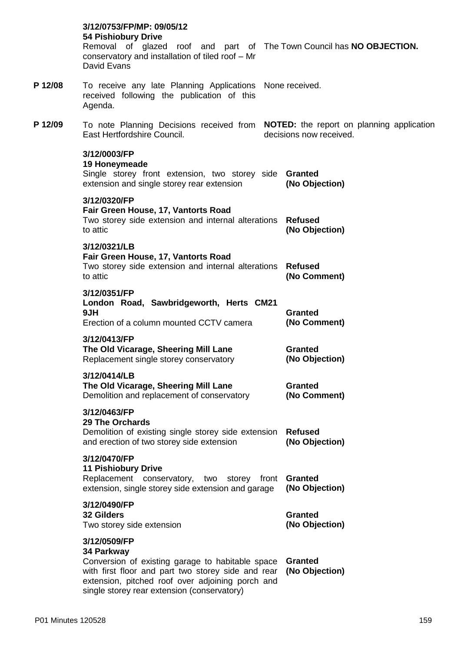|         | 3/12/0753/FP/MP: 09/05/12<br>54 Pishiobury Drive<br>Removal of glazed roof and part of The Town Council has NO OBJECTION.<br>conservatory and installation of tiled roof - Mr<br>David Evans                                            |                                  |
|---------|-----------------------------------------------------------------------------------------------------------------------------------------------------------------------------------------------------------------------------------------|----------------------------------|
| P 12/08 | To receive any late Planning Applications None received.<br>received following the publication of this<br>Agenda.                                                                                                                       |                                  |
| P 12/09 | To note Planning Decisions received from <b>NOTED:</b> the report on planning application<br>East Hertfordshire Council.                                                                                                                | decisions now received.          |
|         | 3/12/0003/FP<br>19 Honeymeade<br>Single storey front extension, two storey side <b>Granted</b><br>extension and single storey rear extension                                                                                            | (No Objection)                   |
|         | 3/12/0320/FP<br>Fair Green House, 17, Vantorts Road<br>Two storey side extension and internal alterations<br>to attic                                                                                                                   | <b>Refused</b><br>(No Objection) |
|         | 3/12/0321/LB<br>Fair Green House, 17, Vantorts Road<br>Two storey side extension and internal alterations<br>to attic                                                                                                                   | <b>Refused</b><br>(No Comment)   |
|         | 3/12/0351/FP<br>London Road, Sawbridgeworth, Herts CM21<br>9JH<br>Erection of a column mounted CCTV camera                                                                                                                              | <b>Granted</b><br>(No Comment)   |
|         | 3/12/0413/FP<br>The Old Vicarage, Sheering Mill Lane<br>Replacement single storey conservatory                                                                                                                                          | <b>Granted</b><br>(No Objection) |
|         | 3/12/0414/LB<br>The Old Vicarage, Sheering Mill Lane<br>Demolition and replacement of conservatory                                                                                                                                      | <b>Granted</b><br>(No Comment)   |
|         | 3/12/0463/FP<br><b>29 The Orchards</b><br>Demolition of existing single storey side extension<br>and erection of two storey side extension                                                                                              | <b>Refused</b><br>(No Objection) |
|         | 3/12/0470/FP<br><b>11 Pishiobury Drive</b><br>Replacement conservatory,<br>two storey front<br>extension, single storey side extension and garage                                                                                       | <b>Granted</b><br>(No Objection) |
|         | 3/12/0490/FP<br>32 Gilders<br>Two storey side extension                                                                                                                                                                                 | <b>Granted</b><br>(No Objection) |
|         | 3/12/0509/FP<br>34 Parkway<br>Conversion of existing garage to habitable space<br>with first floor and part two storey side and rear<br>extension, pitched roof over adjoining porch and<br>single storey rear extension (conservatory) | Granted<br>(No Objection)        |
|         |                                                                                                                                                                                                                                         |                                  |